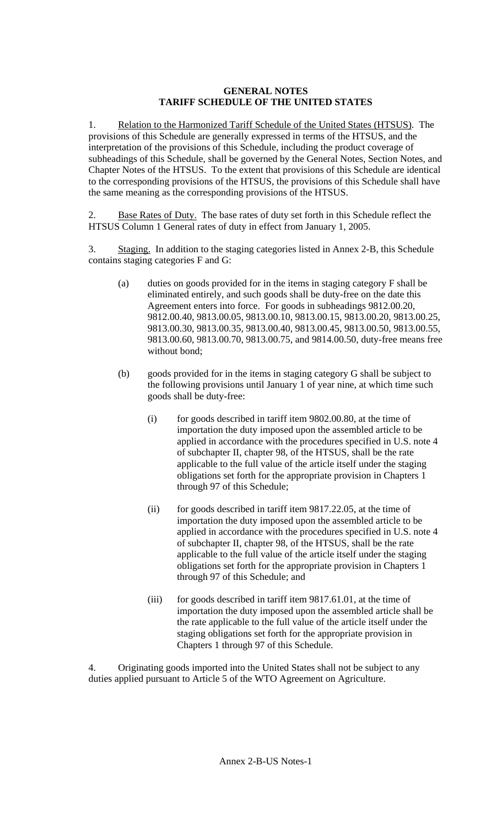### **GENERAL NOTES TARIFF SCHEDULE OF THE UNITED STATES**

1. Relation to the Harmonized Tariff Schedule of the United States (HTSUS). The provisions of this Schedule are generally expressed in terms of the HTSUS, and the interpretation of the provisions of this Schedule, including the product coverage of subheadings of this Schedule, shall be governed by the General Notes, Section Notes, and Chapter Notes of the HTSUS. To the extent that provisions of this Schedule are identical to the corresponding provisions of the HTSUS, the provisions of this Schedule shall have the same meaning as the corresponding provisions of the HTSUS.

2. Base Rates of Duty. The base rates of duty set forth in this Schedule reflect the HTSUS Column 1 General rates of duty in effect from January 1, 2005.

3. Staging. In addition to the staging categories listed in Annex 2-B, this Schedule contains staging categories F and G:

- (a) duties on goods provided for in the items in staging category F shall be eliminated entirely, and such goods shall be duty-free on the date this Agreement enters into force. For goods in subheadings 9812.00.20, 9812.00.40, 9813.00.05, 9813.00.10, 9813.00.15, 9813.00.20, 9813.00.25, 9813.00.30, 9813.00.35, 9813.00.40, 9813.00.45, 9813.00.50, 9813.00.55, 9813.00.60, 9813.00.70, 9813.00.75, and 9814.00.50, duty-free means free without bond;
- (b) goods provided for in the items in staging category G shall be subject to the following provisions until January 1 of year nine, at which time such goods shall be duty-free:
	- (i) for goods described in tariff item 9802.00.80, at the time of importation the duty imposed upon the assembled article to be applied in accordance with the procedures specified in U.S. note 4 of subchapter II, chapter 98, of the HTSUS, shall be the rate applicable to the full value of the article itself under the staging obligations set forth for the appropriate provision in Chapters 1 through 97 of this Schedule;
	- (ii) for goods described in tariff item 9817.22.05, at the time of importation the duty imposed upon the assembled article to be applied in accordance with the procedures specified in U.S. note 4 of subchapter II, chapter 98, of the HTSUS, shall be the rate applicable to the full value of the article itself under the staging obligations set forth for the appropriate provision in Chapters 1 through 97 of this Schedule; and
	- (iii) for goods described in tariff item 9817.61.01, at the time of importation the duty imposed upon the assembled article shall be the rate applicable to the full value of the article itself under the staging obligations set forth for the appropriate provision in Chapters 1 through 97 of this Schedule.

4. Originating goods imported into the United States shall not be subject to any duties applied pursuant to Article 5 of the WTO Agreement on Agriculture.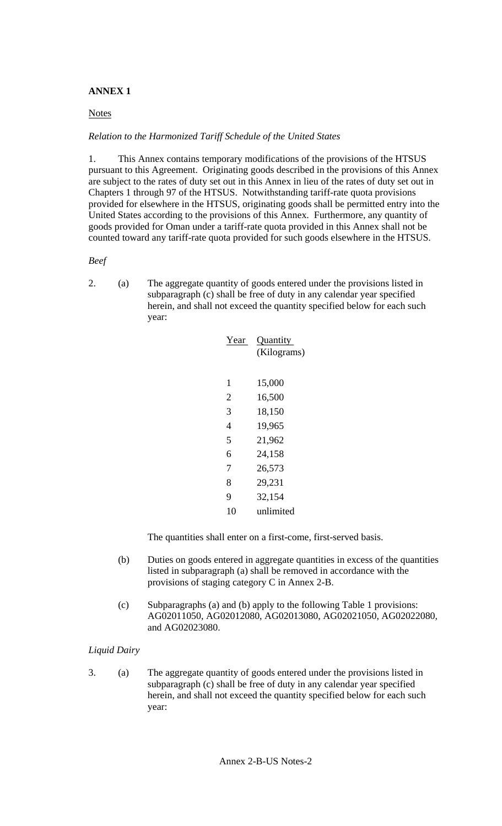# **ANNEX 1**

## **Notes**

## *Relation to the Harmonized Tariff Schedule of the United States*

1. This Annex contains temporary modifications of the provisions of the HTSUS pursuant to this Agreement. Originating goods described in the provisions of this Annex are subject to the rates of duty set out in this Annex in lieu of the rates of duty set out in Chapters 1 through 97 of the HTSUS. Notwithstanding tariff-rate quota provisions provided for elsewhere in the HTSUS, originating goods shall be permitted entry into the United States according to the provisions of this Annex. Furthermore, any quantity of goods provided for Oman under a tariff-rate quota provided in this Annex shall not be counted toward any tariff-rate quota provided for such goods elsewhere in the HTSUS.

### *Beef*

2. (a) The aggregate quantity of goods entered under the provisions listed in subparagraph (c) shall be free of duty in any calendar year specified herein, and shall not exceed the quantity specified below for each such year:

| Year | Quantity<br>(Kilograms) |
|------|-------------------------|
| 1    | 15,000                  |
| 2    | 16,500                  |
| 3    | 18,150                  |
| 4    | 19,965                  |
| 5    | 21,962                  |
| 6    | 24,158                  |
| 7    | 26,573                  |
| 8    | 29,231                  |
| 9    | 32,154                  |
| 10   | unlimited               |
|      |                         |

The quantities shall enter on a first-come, first-served basis.

- (b) Duties on goods entered in aggregate quantities in excess of the quantities listed in subparagraph (a) shall be removed in accordance with the provisions of staging category C in Annex 2-B.
- (c) Subparagraphs (a) and (b) apply to the following Table 1 provisions: AG02011050, AG02012080, AG02013080, AG02021050, AG02022080, and AG02023080.

# *Liquid Dairy*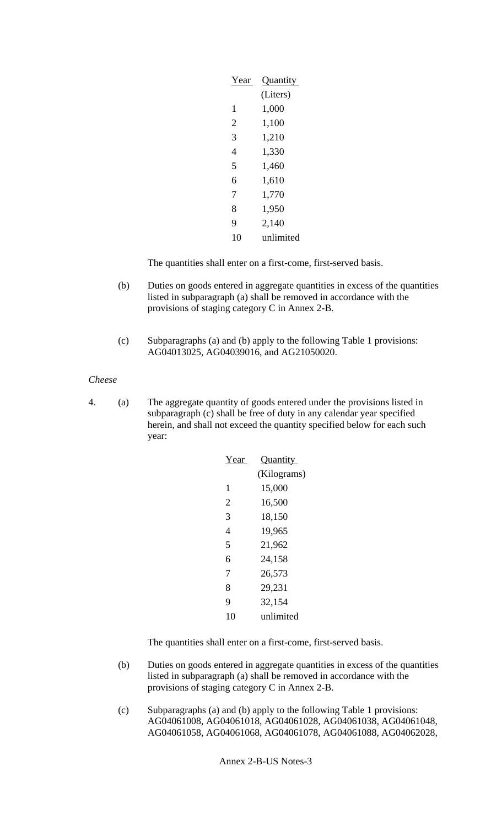| Year           | Quantity  |
|----------------|-----------|
|                | (Liters)  |
| 1              | 1,000     |
| $\overline{2}$ | 1,100     |
| 3              | 1,210     |
| 4              | 1,330     |
| 5              | 1,460     |
| 6              | 1,610     |
| 7              | 1,770     |
| 8              | 1,950     |
| 9              | 2,140     |
| 10             | unlimited |

- (b) Duties on goods entered in aggregate quantities in excess of the quantities listed in subparagraph (a) shall be removed in accordance with the provisions of staging category C in Annex 2-B.
- (c) Subparagraphs (a) and (b) apply to the following Table 1 provisions: AG04013025, AG04039016, and AG21050020.

### *Cheese*

4. (a) The aggregate quantity of goods entered under the provisions listed in subparagraph (c) shall be free of duty in any calendar year specified herein, and shall not exceed the quantity specified below for each such year:

| Year           | Quantity    |
|----------------|-------------|
|                | (Kilograms) |
| 1              | 15,000      |
| $\mathfrak{D}$ | 16,500      |
| 3              | 18,150      |
| 4              | 19,965      |
| 5              | 21,962      |
| 6              | 24,158      |
| 7              | 26,573      |
| 8              | 29,231      |
| 9              | 32,154      |
| 10             | unlimited   |

The quantities shall enter on a first-come, first-served basis.

- (b) Duties on goods entered in aggregate quantities in excess of the quantities listed in subparagraph (a) shall be removed in accordance with the provisions of staging category C in Annex 2-B.
- (c) Subparagraphs (a) and (b) apply to the following Table 1 provisions: AG04061008, AG04061018, AG04061028, AG04061038, AG04061048, AG04061058, AG04061068, AG04061078, AG04061088, AG04062028,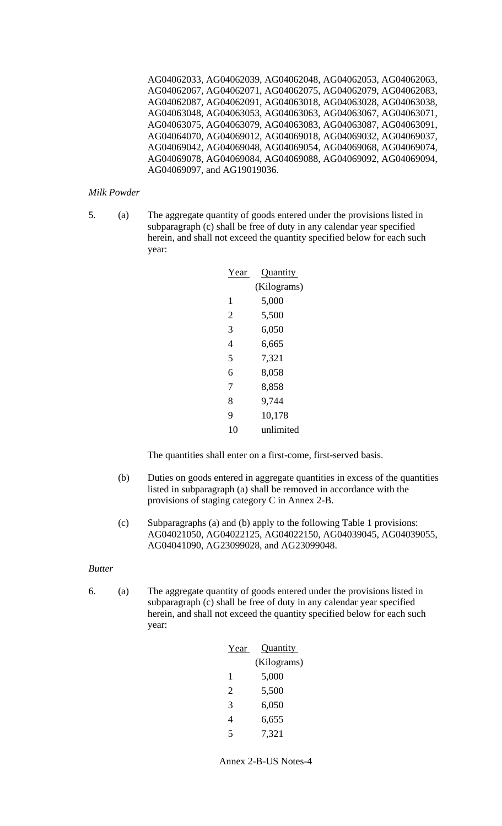AG04062033, AG04062039, AG04062048, AG04062053, AG04062063, AG04062067, AG04062071, AG04062075, AG04062079, AG04062083, AG04062087, AG04062091, AG04063018, AG04063028, AG04063038, AG04063048, AG04063053, AG04063063, AG04063067, AG04063071, AG04063075, AG04063079, AG04063083, AG04063087, AG04063091, AG04064070, AG04069012, AG04069018, AG04069032, AG04069037, AG04069042, AG04069048, AG04069054, AG04069068, AG04069074, AG04069078, AG04069084, AG04069088, AG04069092, AG04069094, AG04069097, and AG19019036.

*Milk Powder* 

5. (a) The aggregate quantity of goods entered under the provisions listed in subparagraph (c) shall be free of duty in any calendar year specified herein, and shall not exceed the quantity specified below for each such year:

| Year | Quantity    |
|------|-------------|
|      | (Kilograms) |
| 1    | 5,000       |
| 2    | 5,500       |
| 3    | 6,050       |
| 4    | 6,665       |
| 5    | 7,321       |
| 6    | 8,058       |
| 7    | 8,858       |
| 8    | 9,744       |
| 9    | 10,178      |
| 10   | unlimited   |

The quantities shall enter on a first-come, first-served basis.

- (b) Duties on goods entered in aggregate quantities in excess of the quantities listed in subparagraph (a) shall be removed in accordance with the provisions of staging category C in Annex 2-B.
- (c) Subparagraphs (a) and (b) apply to the following Table 1 provisions: AG04021050, AG04022125, AG04022150, AG04039045, AG04039055, AG04041090, AG23099028, and AG23099048.

*Butter* 

| Year                        | <b>Quantity</b> |
|-----------------------------|-----------------|
|                             | (Kilograms)     |
| 1                           | 5,000           |
| $\mathcal{D}_{\mathcal{L}}$ | 5,500           |
| 3                           | 6,050           |
| 4                           | 6,655           |
| 5                           | 7.321           |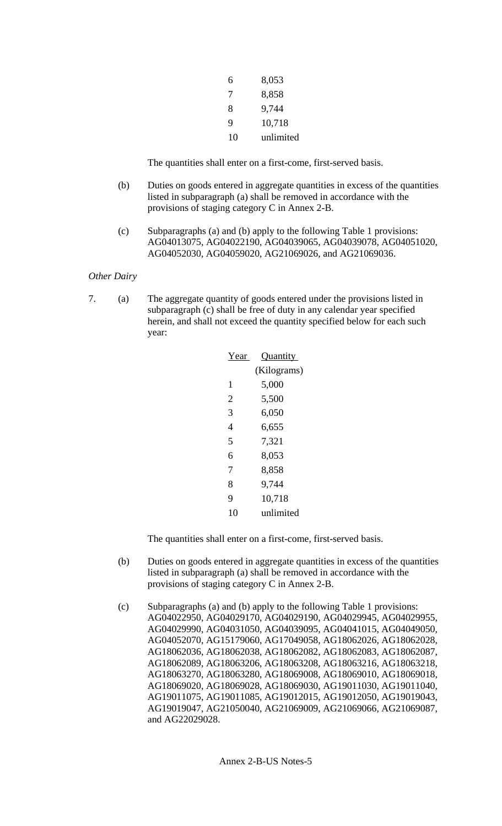| 6  | 8,053     |
|----|-----------|
| 7  | 8,858     |
| 8  | 9,744     |
| 9  | 10,718    |
| 10 | unlimited |

- (b) Duties on goods entered in aggregate quantities in excess of the quantities listed in subparagraph (a) shall be removed in accordance with the provisions of staging category C in Annex 2-B.
- (c) Subparagraphs (a) and (b) apply to the following Table 1 provisions: AG04013075, AG04022190, AG04039065, AG04039078, AG04051020, AG04052030, AG04059020, AG21069026, and AG21069036.

*Other Dairy* 

7. (a) The aggregate quantity of goods entered under the provisions listed in subparagraph (c) shall be free of duty in any calendar year specified herein, and shall not exceed the quantity specified below for each such year:

| Year | Quantity    |
|------|-------------|
|      | (Kilograms) |
| 1    | 5,000       |
| 2    | 5,500       |
| 3    | 6,050       |
| 4    | 6,655       |
| 5    | 7,321       |
| 6    | 8,053       |
| 7    | 8,858       |
| 8    | 9,744       |
| 9    | 10,718      |
| 10   | unlimited   |

The quantities shall enter on a first-come, first-served basis.

- (b) Duties on goods entered in aggregate quantities in excess of the quantities listed in subparagraph (a) shall be removed in accordance with the provisions of staging category C in Annex 2-B.
- (c) Subparagraphs (a) and (b) apply to the following Table 1 provisions: AG04022950, AG04029170, AG04029190, AG04029945, AG04029955, AG04029990, AG04031050, AG04039095, AG04041015, AG04049050, AG04052070, AG15179060, AG17049058, AG18062026, AG18062028, AG18062036, AG18062038, AG18062082, AG18062083, AG18062087, AG18062089, AG18063206, AG18063208, AG18063216, AG18063218, AG18063270, AG18063280, AG18069008, AG18069010, AG18069018, AG18069020, AG18069028, AG18069030, AG19011030, AG19011040, AG19011075, AG19011085, AG19012015, AG19012050, AG19019043, AG19019047, AG21050040, AG21069009, AG21069066, AG21069087, and AG22029028.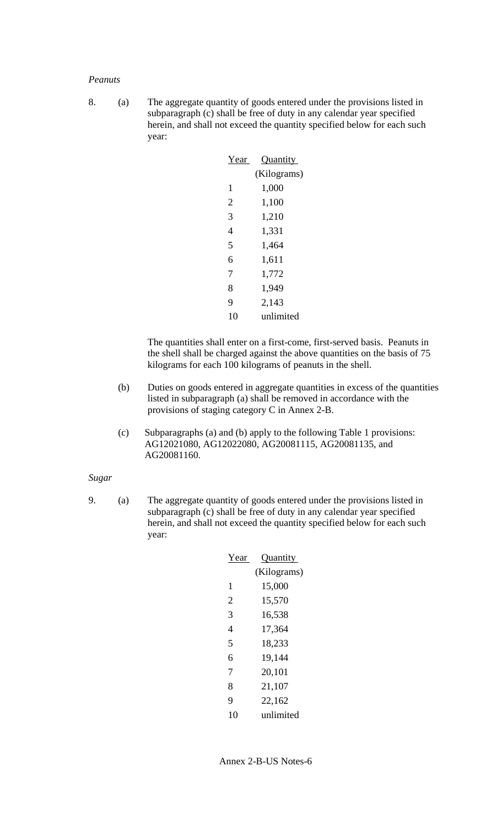#### *Peanuts*

8. (a) The aggregate quantity of goods entered under the provisions listed in subparagraph (c) shall be free of duty in any calendar year specified herein, and shall not exceed the quantity specified below for each such year:

| Year | Quantity    |
|------|-------------|
|      | (Kilograms) |
| 1    | 1,000       |
| 2    | 1,100       |
| 3    | 1,210       |
| 4    | 1,331       |
| 5    | 1,464       |
| 6    | 1,611       |
| 7    | 1,772       |
| 8    | 1,949       |
| 9    | 2,143       |
| 10   | unlimited   |

The quantities shall enter on a first-come, first-served basis. Peanuts in the shell shall be charged against the above quantities on the basis of 75 kilograms for each 100 kilograms of peanuts in the shell.

- (b) Duties on goods entered in aggregate quantities in excess of the quantities listed in subparagraph (a) shall be removed in accordance with the provisions of staging category C in Annex 2-B.
- (c) Subparagraphs (a) and (b) apply to the following Table 1 provisions: AG12021080, AG12022080, AG20081115, AG20081135, and AG20081160.

### *Sugar*

| Year | Quantity    |
|------|-------------|
|      | (Kilograms) |
| 1    | 15,000      |
| 2    | 15,570      |
| 3    | 16,538      |
| 4    | 17,364      |
| 5    | 18,233      |
| 6    | 19,144      |
| 7    | 20,101      |
| 8    | 21,107      |
| 9    | 22,162      |
| 10   | unlimited   |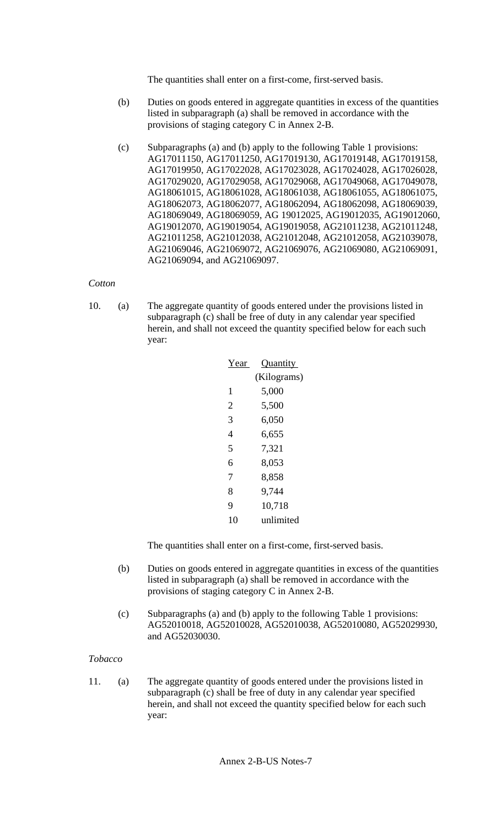- (b) Duties on goods entered in aggregate quantities in excess of the quantities listed in subparagraph (a) shall be removed in accordance with the provisions of staging category C in Annex 2-B.
- (c) Subparagraphs (a) and (b) apply to the following Table 1 provisions: AG17011150, AG17011250, AG17019130, AG17019148, AG17019158, AG17019950, AG17022028, AG17023028, AG17024028, AG17026028, AG17029020, AG17029058, AG17029068, AG17049068, AG17049078, AG18061015, AG18061028, AG18061038, AG18061055, AG18061075, AG18062073, AG18062077, AG18062094, AG18062098, AG18069039, AG18069049, AG18069059, AG 19012025, AG19012035, AG19012060, AG19012070, AG19019054, AG19019058, AG21011238, AG21011248, AG21011258, AG21012038, AG21012048, AG21012058, AG21039078, AG21069046, AG21069072, AG21069076, AG21069080, AG21069091, AG21069094, and AG21069097.

### *Cotton*

10. (a) The aggregate quantity of goods entered under the provisions listed in subparagraph (c) shall be free of duty in any calendar year specified herein, and shall not exceed the quantity specified below for each such year:

| Year           | Quantity    |
|----------------|-------------|
|                | (Kilograms) |
| 1              | 5,000       |
| $\overline{2}$ | 5,500       |
| 3              | 6,050       |
| 4              | 6,655       |
| 5              | 7,321       |
| 6              | 8,053       |
| 7              | 8,858       |
| 8              | 9,744       |
| 9              | 10,718      |
| 10             | unlimited   |

The quantities shall enter on a first-come, first-served basis.

- (b) Duties on goods entered in aggregate quantities in excess of the quantities listed in subparagraph (a) shall be removed in accordance with the provisions of staging category C in Annex 2-B.
- (c) Subparagraphs (a) and (b) apply to the following Table 1 provisions: AG52010018, AG52010028, AG52010038, AG52010080, AG52029930, and AG52030030.

### *Tobacco*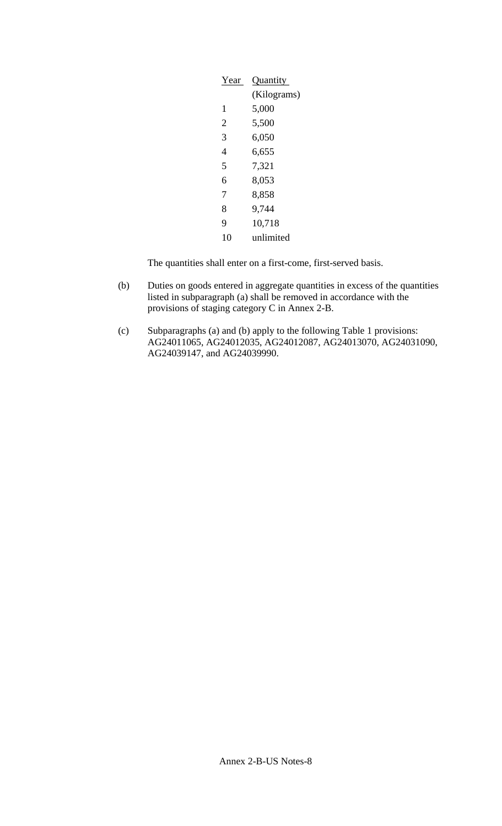| Year           | Quantity    |
|----------------|-------------|
|                | (Kilograms) |
| 1              | 5,000       |
| $\overline{2}$ | 5,500       |
| 3              | 6,050       |
| 4              | 6,655       |
| 5              | 7,321       |
| 6              | 8,053       |
| 7              | 8,858       |
| 8              | 9,744       |
| 9              | 10,718      |
| 10             | unlimited   |

- (b) Duties on goods entered in aggregate quantities in excess of the quantities listed in subparagraph (a) shall be removed in accordance with the provisions of staging category C in Annex 2-B.
- (c) Subparagraphs (a) and (b) apply to the following Table 1 provisions: AG24011065, AG24012035, AG24012087, AG24013070, AG24031090, AG24039147, and AG24039990.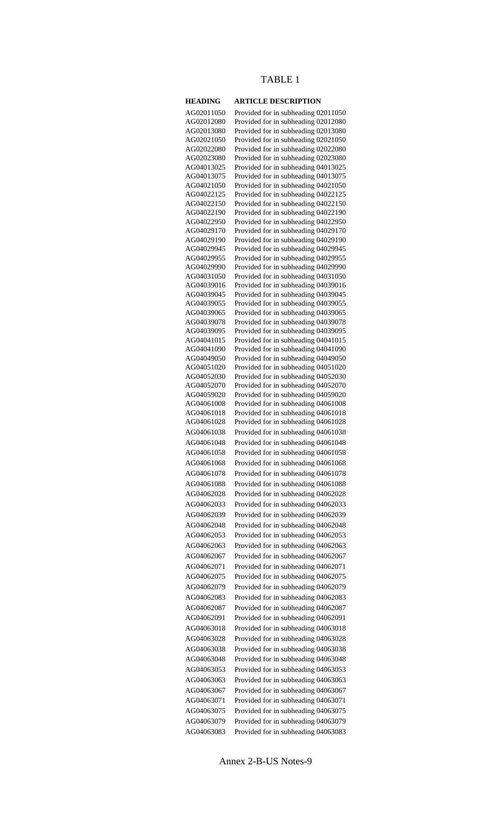# TABLE 1

| <b>HEADING</b>           | <b>ARTICLE DESCRIPTION</b>                                                 |
|--------------------------|----------------------------------------------------------------------------|
| AG02011050               | Provided for in subheading 02011050                                        |
| AG02012080               | Provided for in subheading 02012080                                        |
| AG02013080               | Provided for in subheading 02013080                                        |
| AG02021050               | Provided for in subheading 02021050                                        |
| AG02022080               | Provided for in subheading 02022080                                        |
| AG02023080               | Provided for in subheading 02023080                                        |
| AG04013025               | Provided for in subheading 04013025                                        |
| AG04013075               | Provided for in subheading 04013075                                        |
| AG04021050               | Provided for in subheading 04021050                                        |
| AG04022125               | Provided for in subheading 04022125                                        |
| AG04022150               | Provided for in subheading 04022150                                        |
| AG04022190               | Provided for in subheading 04022190                                        |
| AG04022950               | Provided for in subheading 04022950                                        |
| AG04029170               | Provided for in subheading 04029170                                        |
| AG04029190               | Provided for in subheading 04029190                                        |
| AG04029945               | Provided for in subheading 04029945                                        |
| AG04029955               | Provided for in subheading 04029955                                        |
| AG04029990               | Provided for in subheading 04029990                                        |
| AG04031050               | Provided for in subheading 04031050                                        |
| AG04039016               | Provided for in subheading 04039016                                        |
| AG04039045               | Provided for in subheading 04039045                                        |
| AG04039055               | Provided for in subheading 04039055                                        |
| AG04039065<br>AG04039078 | Provided for in subheading 04039065                                        |
| AG04039095               | Provided for in subheading 04039078<br>Provided for in subheading 04039095 |
| AG04041015               | Provided for in subheading 04041015                                        |
| AG04041090               | Provided for in subheading 04041090                                        |
| AG04049050               | Provided for in subheading 04049050                                        |
| AG04051020               | Provided for in subheading 04051020                                        |
| AG04052030               | Provided for in subheading 04052030                                        |
| AG04052070               | Provided for in subheading 04052070                                        |
| AG04059020               | Provided for in subheading 04059020                                        |
| AG04061008               | Provided for in subheading 04061008                                        |
| AG04061018               | Provided for in subheading 04061018                                        |
| AG04061028               | Provided for in subheading 04061028                                        |
| AG04061038               | Provided for in subheading 04061038                                        |
| AG04061048               | Provided for in subheading 04061048                                        |
| AG04061058               | Provided for in subheading 04061058                                        |
| AG04061068               | Provided for in subheading 04061068                                        |
| AG04061078               | Provided for in subheading 04061078                                        |
| AG04061088               | Provided for in subheading 04061088                                        |
| AG04062028               | Provided for in subheading 04062028                                        |
| AG04062033               | Provided for in subheading 04062033                                        |
| AG04062039               |                                                                            |
| AG04062048               | Provided for in subheading 04062039                                        |
| AG04062053               | Provided for in subheading 04062048                                        |
|                          | Provided for in subheading 04062053                                        |
| AG04062063               | Provided for in subheading 04062063                                        |
| AG04062067               | Provided for in subheading 04062067                                        |
| AG04062071               | Provided for in subheading 04062071                                        |
| AG04062075               | Provided for in subheading 04062075                                        |
| AG04062079               | Provided for in subheading 04062079                                        |
| AG04062083               | Provided for in subheading 04062083                                        |
| AG04062087               | Provided for in subheading 04062087                                        |
| AG04062091               | Provided for in subheading 04062091                                        |
| AG04063018               | Provided for in subheading 04063018                                        |
| AG04063028               | Provided for in subheading 04063028                                        |
| AG04063038               | Provided for in subheading 04063038                                        |
| AG04063048               | Provided for in subheading 04063048                                        |
| AG04063053               |                                                                            |
|                          | Provided for in subheading 04063053                                        |
| AG04063063               | Provided for in subheading 04063063                                        |
| AG04063067               | Provided for in subheading 04063067                                        |
| AG04063071               | Provided for in subheading 04063071                                        |
| AG04063075               | Provided for in subheading 04063075                                        |
| AG04063079               | Provided for in subheading 04063079                                        |
| AG04063083               | Provided for in subheading 04063083                                        |

Annex 2-B-US Notes-9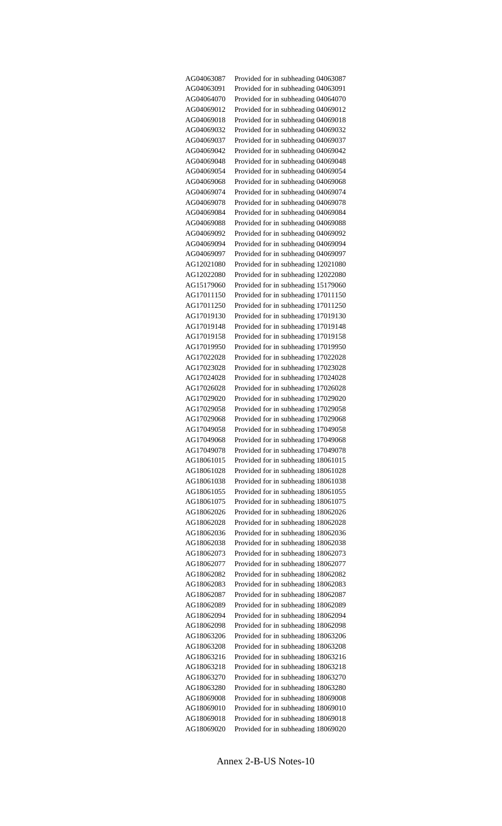| AG04063087               | Provided for in subheading 04063087                                        |
|--------------------------|----------------------------------------------------------------------------|
| AG04063091               | Provided for in subheading 04063091                                        |
| AG04064070               | Provided for in subheading 04064070                                        |
| AG04069012               | Provided for in subheading 04069012                                        |
| AG04069018               | Provided for in subheading 04069018                                        |
| AG04069032               | Provided for in subheading 04069032                                        |
| AG04069037               | Provided for in subheading 04069037                                        |
| AG04069042               | Provided for in subheading 04069042                                        |
| AG04069048               | Provided for in subheading 04069048                                        |
| AG04069054               | Provided for in subheading 04069054                                        |
| AG04069068               | Provided for in subheading 04069068                                        |
| AG04069074               | Provided for in subheading 04069074                                        |
| AG04069078               | Provided for in subheading 04069078                                        |
| AG04069084               | Provided for in subheading 04069084                                        |
| AG04069088               | Provided for in subheading 04069088                                        |
| AG04069092               | Provided for in subheading 04069092                                        |
| AG04069094               | Provided for in subheading 04069094                                        |
| AG04069097               | Provided for in subheading 04069097                                        |
| AG12021080               | Provided for in subheading 12021080                                        |
| AG12022080               | Provided for in subheading 12022080                                        |
| AG15179060               | Provided for in subheading 15179060                                        |
| AG17011150               | Provided for in subheading 17011150                                        |
| AG17011250               | Provided for in subheading 17011250                                        |
| AG17019130               | Provided for in subheading 17019130                                        |
| AG17019148               | Provided for in subheading 17019148                                        |
| AG17019158<br>AG17019950 | Provided for in subheading 17019158<br>Provided for in subheading 17019950 |
| AG17022028               | Provided for in subheading 17022028                                        |
| AG17023028               | Provided for in subheading 17023028                                        |
| AG17024028               | Provided for in subheading 17024028                                        |
| AG17026028               | Provided for in subheading 17026028                                        |
| AG17029020               | Provided for in subheading 17029020                                        |
| AG17029058               | Provided for in subheading 17029058                                        |
| AG17029068               | Provided for in subheading 17029068                                        |
| AG17049058               | Provided for in subheading 17049058                                        |
| AG17049068               | Provided for in subheading 17049068                                        |
| AG17049078               | Provided for in subheading 17049078                                        |
| AG18061015               | Provided for in subheading 18061015                                        |
| AG18061028               | Provided for in subheading 18061028                                        |
| AG18061038               | Provided for in subheading 18061038                                        |
| AG18061055               | Provided for in subheading 18061055                                        |
| AG18061075               | Provided for in subheading 18061075                                        |
| AG18062026               | Provided for in subheading 18062026                                        |
| AG18062028               | Provided for in subheading 18062028                                        |
| AG18062036               | Provided for in subheading 18062036                                        |
| AG18062038               | Provided for in subheading 18062038                                        |
| AG18062073               | Provided for in subheading 18062073                                        |
| AG18062077               | Provided for in subheading 18062077                                        |
| AG18062082               | Provided for in subheading 18062082                                        |
| AG18062083               | Provided for in subheading 18062083                                        |
| AG18062087               | Provided for in subheading 18062087                                        |
| AG18062089               | Provided for in subheading 18062089                                        |
| AG18062094               | Provided for in subheading 18062094                                        |
| AG18062098               | Provided for in subheading 18062098                                        |
| AG18063206               | Provided for in subheading 18063206                                        |
| AG18063208               | Provided for in subheading 18063208                                        |
| AG18063216               | Provided for in subheading 18063216                                        |
| AG18063218               | Provided for in subheading 18063218                                        |
| AG18063270               | Provided for in subheading 18063270                                        |
| AG18063280               | Provided for in subheading 18063280                                        |
| AG18069008               | Provided for in subheading 18069008                                        |
| AG18069010<br>AG18069018 | Provided for in subheading 18069010                                        |
| AG18069020               | Provided for in subheading 18069018<br>Provided for in subheading 18069020 |
|                          |                                                                            |

Annex 2-B-US Notes-10